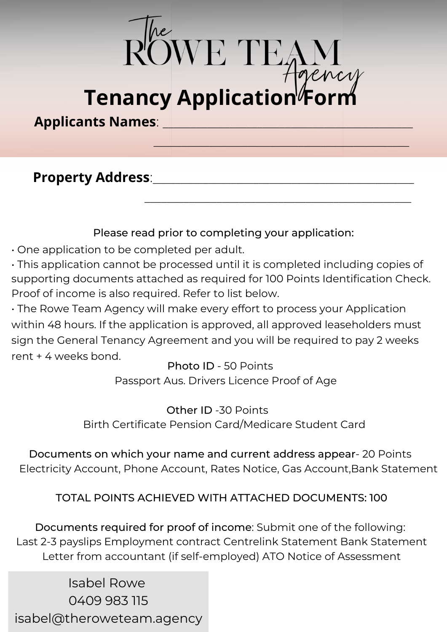# **ROWE TEAM**<br> **Tenancy Application**<br> **Fenancy Application**<br> **Form**

**Applicants Names**: \_\_\_\_\_\_\_\_\_\_\_\_\_\_\_\_\_\_\_\_\_\_\_\_\_\_\_\_\_\_\_\_\_\_\_\_\_\_\_\_\_\_\_\_\_

**Property Address**:\_\_\_\_\_\_\_\_\_\_\_\_\_\_\_\_\_\_\_\_\_\_\_\_\_\_\_\_\_\_\_\_\_\_\_\_\_\_\_\_\_\_\_\_\_\_\_

Please read prior to completing your application:

 $\frac{1}{\sqrt{2}}$  ,  $\frac{1}{\sqrt{2}}$  ,  $\frac{1}{\sqrt{2}}$  ,  $\frac{1}{\sqrt{2}}$  ,  $\frac{1}{\sqrt{2}}$  ,  $\frac{1}{\sqrt{2}}$  ,  $\frac{1}{\sqrt{2}}$  ,  $\frac{1}{\sqrt{2}}$  ,  $\frac{1}{\sqrt{2}}$  ,  $\frac{1}{\sqrt{2}}$  ,  $\frac{1}{\sqrt{2}}$  ,  $\frac{1}{\sqrt{2}}$  ,  $\frac{1}{\sqrt{2}}$  ,  $\frac{1}{\sqrt{2}}$  ,  $\frac{1}{\sqrt{2}}$ 

 $\mathcal{L}_\mathcal{L} = \mathcal{L}_\mathcal{L} = \mathcal{L}_\mathcal{L} = \mathcal{L}_\mathcal{L} = \mathcal{L}_\mathcal{L} = \mathcal{L}_\mathcal{L} = \mathcal{L}_\mathcal{L} = \mathcal{L}_\mathcal{L} = \mathcal{L}_\mathcal{L} = \mathcal{L}_\mathcal{L} = \mathcal{L}_\mathcal{L} = \mathcal{L}_\mathcal{L} = \mathcal{L}_\mathcal{L} = \mathcal{L}_\mathcal{L} = \mathcal{L}_\mathcal{L} = \mathcal{L}_\mathcal{L} = \mathcal{L}_\mathcal{L}$ 

• One application to be completed per adult.

• This application cannot be processed until it is completed including copies of supporting documents attached as required for 100 Points Identification Check. Proof of income is also required. Refer to list below.

• The Rowe Team Agency will make every effort to process your Application within 48 hours. If the application is approved, all approved leaseholders must sign the General Tenancy Agreement and you will be required to pay 2 weeks rent + 4 weeks bond.

Photo ID - 50 Points Passport Aus. Drivers Licence Proof of Age

Other ID -30 Points Birth Certificate Pension Card/Medicare Student Card

Documents on which your name and current address appear- 20 Points Electricity Account, Phone Account, Rates Notice, Gas Account,Bank Statement

TOTAL POINTS ACHIEVED WITH ATTACHED DOCUMENTS: 100

Documents required for proof of income: Submit one of the following: Last 2-3 payslips Employment contract Centrelink Statement Bank Statement Letter from accountant (if self-employed) ATO Notice of Assessment

Isabel Rowe 0409 983 115 isabel@theroweteam.agency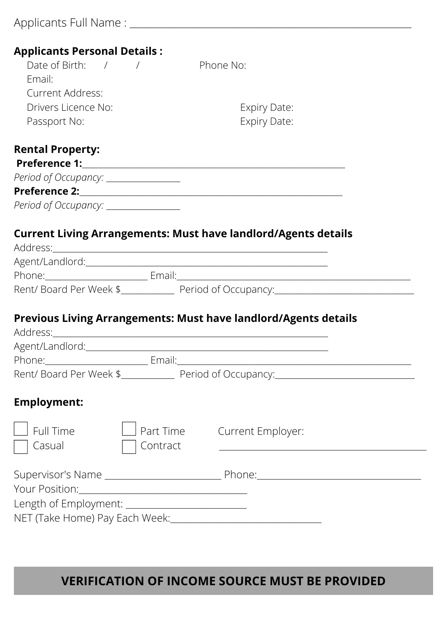# **Applicants Personal Details :**

| Date of Birth: $\sqrt{ }$ |  | Phone No:    |
|---------------------------|--|--------------|
| Email:                    |  |              |
| Current Address:          |  |              |
| Drivers Licence No:       |  | Expiry Date: |
| Passport No:              |  | Expiry Date: |
|                           |  |              |
| <b>Rental Property:</b>   |  |              |
| <b>Preference 1:</b>      |  |              |

| Period of Occupancy: _ |  |  |
|------------------------|--|--|
| <b>Preference 2:</b>   |  |  |
| Period of Occupancy: _ |  |  |

# **Current Living Arrangements: Must have landlord/Agents details**

| Address:               |                      |  |
|------------------------|----------------------|--|
| Agent/Landlord:        |                      |  |
| Phone:                 | Email:               |  |
| Rent/Board Per Week \$ | Period of Occupancy: |  |

# **Previous Living Arrangements: Must have landlord/Agents details**

| Address: Andreas Address Andrew Management and American American American American American American American |                       |                                                                                   |  |
|---------------------------------------------------------------------------------------------------------------|-----------------------|-----------------------------------------------------------------------------------|--|
| Agent/Landlord:______________                                                                                 |                       |                                                                                   |  |
|                                                                                                               |                       |                                                                                   |  |
|                                                                                                               |                       | Rent/Board Per Week \$_____________ Period of Occupancy:_________________________ |  |
| <b>Employment:</b>                                                                                            |                       |                                                                                   |  |
| Full Time<br>Casual                                                                                           | Part Time<br>Contract | <b>Current Employer:</b>                                                          |  |
|                                                                                                               |                       |                                                                                   |  |
|                                                                                                               |                       |                                                                                   |  |
| NET (Take Home) Pay Each Week: _________                                                                      |                       |                                                                                   |  |

# **VERIFICATION OF INCOME SOURCE MUST BE PROVIDED**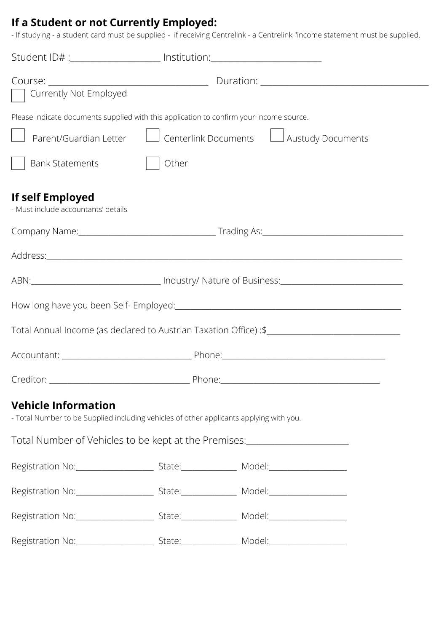# **If a Student or not Currently Employed:**

- If studying - a student card must be supplied - if receiving Centrelink - a Centrelink "income statement must be supplied.

| Student ID# :_____________________ Institution:_________________________________                                             |       |                                                                                                      |  |
|------------------------------------------------------------------------------------------------------------------------------|-------|------------------------------------------------------------------------------------------------------|--|
|                                                                                                                              |       |                                                                                                      |  |
| Currently Not Employed                                                                                                       |       |                                                                                                      |  |
| Please indicate documents supplied with this application to confirm your income source.                                      |       |                                                                                                      |  |
| Parent/Guardian Letter                                                                                                       |       | Centerlink Documents   Austudy Documents                                                             |  |
| <b>Bank Statements</b>                                                                                                       | Other |                                                                                                      |  |
| If self Employed<br>- Must include accountants' details                                                                      |       |                                                                                                      |  |
|                                                                                                                              |       |                                                                                                      |  |
|                                                                                                                              |       |                                                                                                      |  |
|                                                                                                                              |       | ABN: _________________________________ Industry/ Nature of Business: _______________________________ |  |
|                                                                                                                              |       |                                                                                                      |  |
|                                                                                                                              |       | Total Annual Income (as declared to Austrian Taxation Office): \$                                    |  |
|                                                                                                                              |       |                                                                                                      |  |
|                                                                                                                              |       |                                                                                                      |  |
| <b>Vehicle Information</b><br>- Total Number to be Supplied including vehicles of other applicants applying with you.        |       |                                                                                                      |  |
| Total Number of Vehicles to be kept at the Premises: [19] [2012] [2013] Total Number of Vehicles to be kept at the Premises: |       |                                                                                                      |  |
|                                                                                                                              |       |                                                                                                      |  |
|                                                                                                                              |       |                                                                                                      |  |
|                                                                                                                              |       |                                                                                                      |  |
|                                                                                                                              |       |                                                                                                      |  |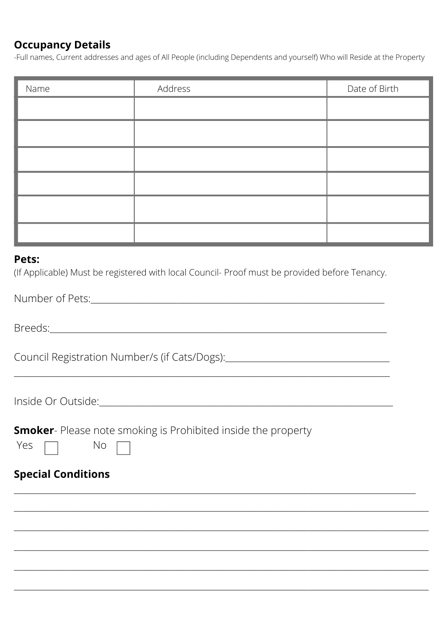## **Occupancy Details**

-Full names, Current addresses and ages of All People (including Dependents and yourself) Who will Reside at the Property

| Name | Address | Date of Birth |
|------|---------|---------------|
|      |         |               |
|      |         |               |
|      |         |               |
|      |         |               |
|      |         |               |
|      |         |               |

#### Pets:

(If Applicable) Must be registered with local Council- Proof must be provided before Tenancy.

Number of Pets: Number of Pets:

Yes

| Council Registration Number/s (if Cats/Dogs): |
|-----------------------------------------------|
|                                               |

**Smoker-** Please note smoking is Prohibited inside the property

**Special Conditions** 

No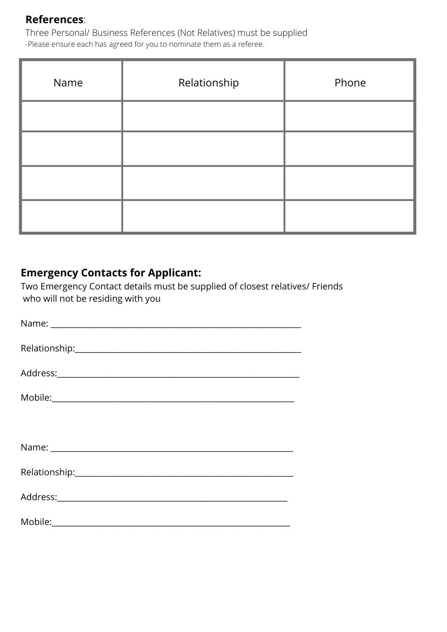## **References**:

Three Personal/ Business References (Not Relatives) must be supplied -Please ensure each has agreed for you to nominate them as a referee.

| Name | Relationship | Phone |
|------|--------------|-------|
|      |              |       |
|      |              |       |
|      |              |       |
|      |              |       |

# **Emergency Contacts for Applicant:**

Two Emergency Contact details must be supplied of closest relatives/ Friends who will not be residing with you